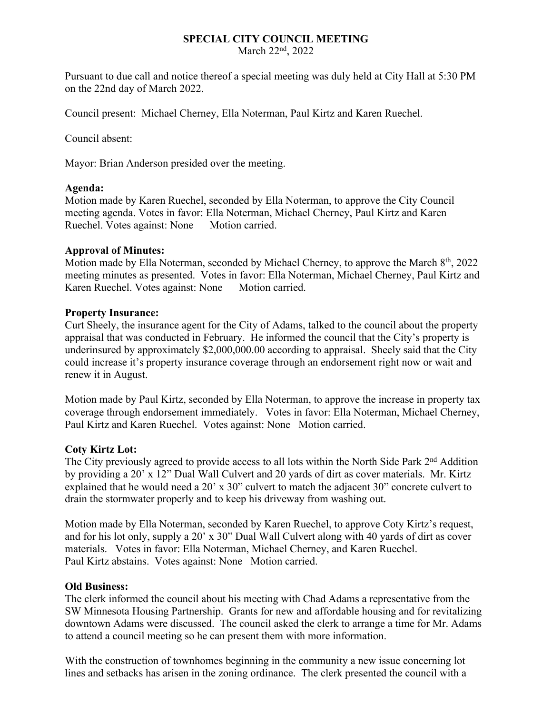# **SPECIAL CITY COUNCIL MEETING**

March 22<sup>nd</sup>, 2022

Pursuant to due call and notice thereof a special meeting was duly held at City Hall at 5:30 PM on the 22nd day of March 2022.

Council present: Michael Cherney, Ella Noterman, Paul Kirtz and Karen Ruechel.

Council absent:

Mayor: Brian Anderson presided over the meeting.

#### **Agenda:**

Motion made by Karen Ruechel, seconded by Ella Noterman, to approve the City Council meeting agenda. Votes in favor: Ella Noterman, Michael Cherney, Paul Kirtz and Karen Ruechel. Votes against: None Motion carried.

## **Approval of Minutes:**

Motion made by Ella Noterman, seconded by Michael Cherney, to approve the March 8<sup>th</sup>, 2022 meeting minutes as presented. Votes in favor: Ella Noterman, Michael Cherney, Paul Kirtz and Karen Ruechel. Votes against: None Motion carried.

#### **Property Insurance:**

Curt Sheely, the insurance agent for the City of Adams, talked to the council about the property appraisal that was conducted in February. He informed the council that the City's property is underinsured by approximately \$2,000,000.00 according to appraisal. Sheely said that the City could increase it's property insurance coverage through an endorsement right now or wait and renew it in August.

Motion made by Paul Kirtz, seconded by Ella Noterman, to approve the increase in property tax coverage through endorsement immediately. Votes in favor: Ella Noterman, Michael Cherney, Paul Kirtz and Karen Ruechel. Votes against: None Motion carried.

## **Coty Kirtz Lot:**

The City previously agreed to provide access to all lots within the North Side Park 2<sup>nd</sup> Addition by providing a 20' x 12" Dual Wall Culvert and 20 yards of dirt as cover materials. Mr. Kirtz explained that he would need a 20' x 30" culvert to match the adjacent 30" concrete culvert to drain the stormwater properly and to keep his driveway from washing out.

Motion made by Ella Noterman, seconded by Karen Ruechel, to approve Coty Kirtz's request, and for his lot only, supply a 20' x 30" Dual Wall Culvert along with 40 yards of dirt as cover materials. Votes in favor: Ella Noterman, Michael Cherney, and Karen Ruechel. Paul Kirtz abstains. Votes against: None Motion carried.

#### **Old Business:**

The clerk informed the council about his meeting with Chad Adams a representative from the SW Minnesota Housing Partnership. Grants for new and affordable housing and for revitalizing downtown Adams were discussed. The council asked the clerk to arrange a time for Mr. Adams to attend a council meeting so he can present them with more information.

With the construction of townhomes beginning in the community a new issue concerning lot lines and setbacks has arisen in the zoning ordinance. The clerk presented the council with a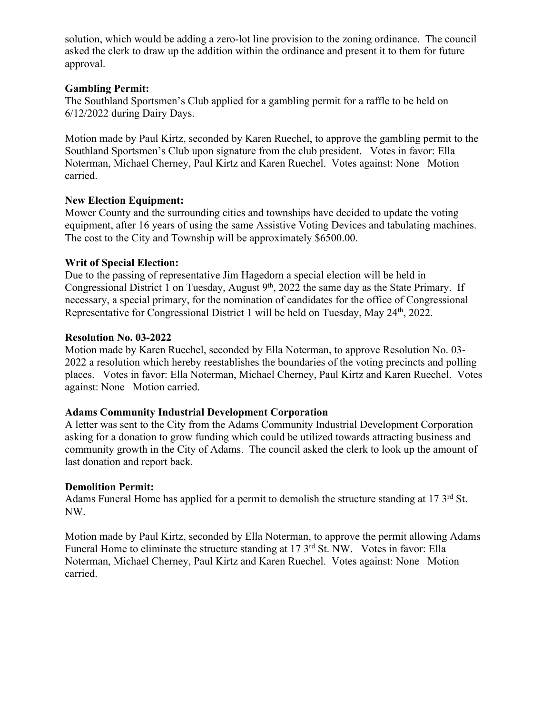solution, which would be adding a zero-lot line provision to the zoning ordinance. The council asked the clerk to draw up the addition within the ordinance and present it to them for future approval.

## **Gambling Permit:**

The Southland Sportsmen's Club applied for a gambling permit for a raffle to be held on 6/12/2022 during Dairy Days.

Motion made by Paul Kirtz, seconded by Karen Ruechel, to approve the gambling permit to the Southland Sportsmen's Club upon signature from the club president. Votes in favor: Ella Noterman, Michael Cherney, Paul Kirtz and Karen Ruechel. Votes against: None Motion carried.

# **New Election Equipment:**

Mower County and the surrounding cities and townships have decided to update the voting equipment, after 16 years of using the same Assistive Voting Devices and tabulating machines. The cost to the City and Township will be approximately \$6500.00.

# **Writ of Special Election:**

Due to the passing of representative Jim Hagedorn a special election will be held in Congressional District 1 on Tuesday, August 9<sup>th</sup>, 2022 the same day as the State Primary. If necessary, a special primary, for the nomination of candidates for the office of Congressional Representative for Congressional District 1 will be held on Tuesday, May 24<sup>th</sup>, 2022.

# **Resolution No. 03-2022**

Motion made by Karen Ruechel, seconded by Ella Noterman, to approve Resolution No. 03- 2022 a resolution which hereby reestablishes the boundaries of the voting precincts and polling places. Votes in favor: Ella Noterman, Michael Cherney, Paul Kirtz and Karen Ruechel. Votes against: None Motion carried.

# **Adams Community Industrial Development Corporation**

A letter was sent to the City from the Adams Community Industrial Development Corporation asking for a donation to grow funding which could be utilized towards attracting business and community growth in the City of Adams. The council asked the clerk to look up the amount of last donation and report back.

# **Demolition Permit:**

Adams Funeral Home has applied for a permit to demolish the structure standing at 17  $3<sup>rd</sup>$  St. NW.

Motion made by Paul Kirtz, seconded by Ella Noterman, to approve the permit allowing Adams Funeral Home to eliminate the structure standing at 17 3<sup>rd</sup> St. NW. Votes in favor: Ella Noterman, Michael Cherney, Paul Kirtz and Karen Ruechel. Votes against: None Motion carried.